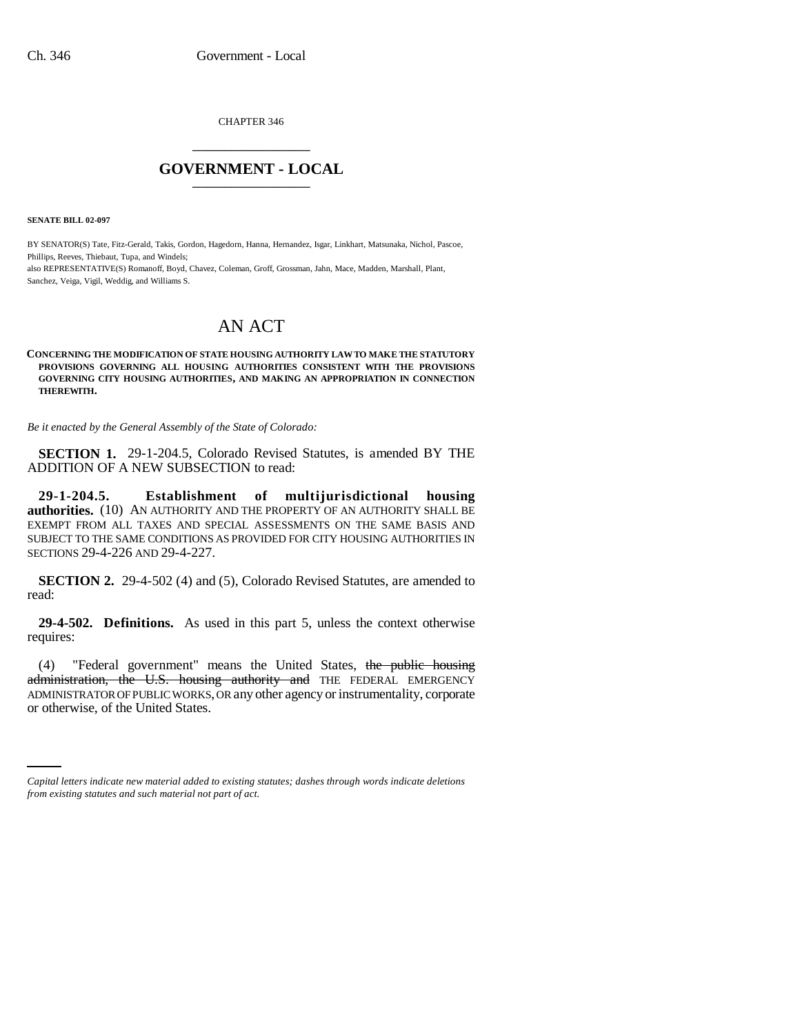CHAPTER 346 \_\_\_\_\_\_\_\_\_\_\_\_\_\_\_

## **GOVERNMENT - LOCAL** \_\_\_\_\_\_\_\_\_\_\_\_\_\_\_

**SENATE BILL 02-097**

BY SENATOR(S) Tate, Fitz-Gerald, Takis, Gordon, Hagedorn, Hanna, Hernandez, Isgar, Linkhart, Matsunaka, Nichol, Pascoe, Phillips, Reeves, Thiebaut, Tupa, and Windels; also REPRESENTATIVE(S) Romanoff, Boyd, Chavez, Coleman, Groff, Grossman, Jahn, Mace, Madden, Marshall, Plant, Sanchez, Veiga, Vigil, Weddig, and Williams S.

## AN ACT

## **CONCERNING THE MODIFICATION OF STATE HOUSING AUTHORITY LAW TO MAKE THE STATUTORY PROVISIONS GOVERNING ALL HOUSING AUTHORITIES CONSISTENT WITH THE PROVISIONS GOVERNING CITY HOUSING AUTHORITIES, AND MAKING AN APPROPRIATION IN CONNECTION THEREWITH.**

*Be it enacted by the General Assembly of the State of Colorado:*

**SECTION 1.** 29-1-204.5, Colorado Revised Statutes, is amended BY THE ADDITION OF A NEW SUBSECTION to read:

**29-1-204.5. Establishment of multijurisdictional housing authorities.** (10) AN AUTHORITY AND THE PROPERTY OF AN AUTHORITY SHALL BE EXEMPT FROM ALL TAXES AND SPECIAL ASSESSMENTS ON THE SAME BASIS AND SUBJECT TO THE SAME CONDITIONS AS PROVIDED FOR CITY HOUSING AUTHORITIES IN SECTIONS 29-4-226 AND 29-4-227.

**SECTION 2.** 29-4-502 (4) and (5), Colorado Revised Statutes, are amended to read:

**29-4-502. Definitions.** As used in this part 5, unless the context otherwise requires:

ADMINISTRATOR OF PUBLIC WORKS, OR any other agency or instrumentality, corporate (4) "Federal government" means the United States, the public housing administration, the U.S. housing authority and THE FEDERAL EMERGENCY or otherwise, of the United States.

*Capital letters indicate new material added to existing statutes; dashes through words indicate deletions from existing statutes and such material not part of act.*